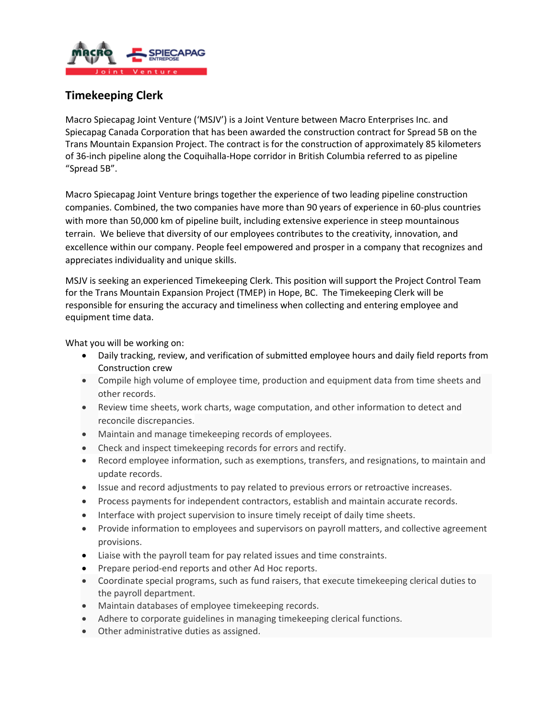

## **Timekeeping Clerk**

Macro Spiecapag Joint Venture ('MSJV') is a Joint Venture between Macro Enterprises Inc. and Spiecapag Canada Corporation that has been awarded the construction contract for Spread 5B on the Trans Mountain Expansion Project. The contract is for the construction of approximately 85 kilometers of 36-inch pipeline along the Coquihalla-Hope corridor in British Columbia referred to as pipeline "Spread 5B".

Macro Spiecapag Joint Venture brings together the experience of two leading pipeline construction companies. Combined, the two companies have more than 90 years of experience in 60-plus countries with more than 50,000 km of pipeline built, including extensive experience in steep mountainous terrain. We believe that diversity of our employees contributes to the creativity, innovation, and excellence within our company. People feel empowered and prosper in a company that recognizes and appreciates individuality and unique skills.

MSJV is seeking an experienced Timekeeping Clerk. This position will support the Project Control Team for the Trans Mountain Expansion Project (TMEP) in Hope, BC. The Timekeeping Clerk will be responsible for ensuring the accuracy and timeliness when collecting and entering employee and equipment time data.

What you will be working on:

- Daily tracking, review, and verification of submitted employee hours and daily field reports from Construction crew
- Compile high volume of employee time, production and equipment data from time sheets and other records.
- Review time sheets, work charts, wage computation, and other information to detect and reconcile discrepancies.
- Maintain and manage timekeeping records of employees.
- Check and inspect timekeeping records for errors and rectify.
- Record employee information, such as exemptions, transfers, and resignations, to maintain and update records.
- Issue and record adjustments to pay related to previous errors or retroactive increases.
- Process payments for independent contractors, establish and maintain accurate records.
- Interface with project supervision to insure timely receipt of daily time sheets.
- Provide information to employees and supervisors on payroll matters, and collective agreement provisions.
- Liaise with the payroll team for pay related issues and time constraints.
- Prepare period-end reports and other Ad Hoc reports.
- Coordinate special programs, such as fund raisers, that execute timekeeping clerical duties to the payroll department.
- Maintain databases of employee timekeeping records.
- Adhere to corporate guidelines in managing timekeeping clerical functions.
- Other administrative duties as assigned.